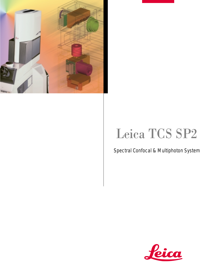

## Leica TCS SP2

## Spectral Confocal & Multiphoton System

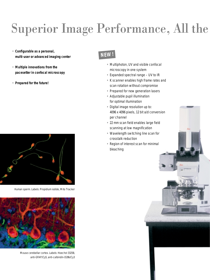## Superior Image Performance, All the

- **• Configurable as a personal, multi-user or advanced imaging center**
- **• Multiple innovations from the pacesetter in confocal microscopy**
- **Prepared for the future!**



Human sperm. Labels: Propidium iodide, Mito Tracker



Mouse cerebellar cortex. Labels: Hoechst 33258, anti-GFAP/Cy5, anti-calbindin-D28k/Cy3

## **NEW!**

- **•** Multiphoton, UV and visible confocal microscopy in one system
- **•** Expanded spectral range UV to IR
- **•** K scanner enables high frame rates and scan rotation without compromise
- **•** Prepared for new generation lasers
- **•** Adjustable pupil illumination for optimal illumination
- **•** Digital image resolution up to: 4096 x 4096 pixels, 12 bit a/d conversion per channel
- **•** 22 mm scan field enables large field scanning at low magnification
- **•** Wavelength switching line scan for crosstalk reduction
- **•** Region of interest scan for minimal bleaching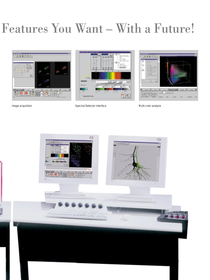## Features You Want – With a Future!







Image acquisition **Spectral Detector Interface** Multi-color analysis Spectral Detector Interface

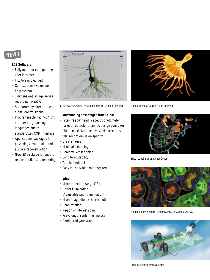### **NEW!**

#### **LCS Software:**

- **•** Fully operator configurable user interface
- **•** Intuitive and guided
- **•** Context-sensitive online help system
- **•** 7 dimensional image series recording (xyztαλi)
- **•** Supported by direct-access digital control knobs
- **•** Programmable with VBA(tm) or other programming languages due to standardized COM interface
- **•** Applications packages for physiology, multi-color and surface reconstruction
- **•** New 3D package for superb reconstruction and rendering



3D software. Cortical pyramidal neuron, Label: Biocytin/FITC

#### **... outstanding advantages from Leica:**

- **•** Filter-free SP head: a spectrophotometer for each detector channel: design your own filters, maximize sensitivity, minimize crosstalk, record emission spectra
- **•** Great images
- **•** Minimal bleaching
- **•** Realtime x-z scanning
- **•** Long term stability
- **•** Tactile feedback
- **•** Easy to use Multiphoton System

#### **... plus:**

- **•** More detection range (12 bit)
- **•** Better illumination (Adjustable pupil illumination)
- **•** More image (field size, resolution)
- **•** Scan rotation
- **•** Region of interest scan
- **•** Wavelength switching line scan
- **•** Configured your way



Obelia (medusa). Label: Azan staining



Erica. Label: Safranin Fast Green



Mouse kidney section: Labels: Alexa 488, Alexa 568, DAPI



Principle of Spectral Detector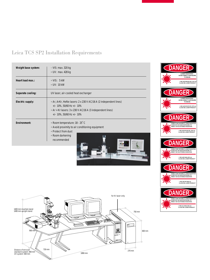## Leica TCS SP2 Installation Requirements

| Weight base system: | $\bullet$ VIS: max. 320 kg                                                                                                                                                                                   |
|---------------------|--------------------------------------------------------------------------------------------------------------------------------------------------------------------------------------------------------------|
|                     | $\bullet$ UV: max. 428 kg                                                                                                                                                                                    |
| Heart load max.:    | $\bullet$ VIS: 5 kW                                                                                                                                                                                          |
|                     | $\bullet$ UV: 10 kW                                                                                                                                                                                          |
| Separate cooling:   | UV laser, air-cooled heat exchanger                                                                                                                                                                          |
| Electric supply:    | • Ar, ArKr, HeNe lasers: 2 x 230 V AC/16 A (2 independent lines)<br>$+/- 10\%$ , 50/60 Hz $+/- 10\%$<br>• Ar + Kr lasers: $3 \times 230$ V AC/16 A (3 independent lines)<br>$+/- 10\%$ , 50/60 Hz $+/- 10\%$ |
| Fnvironment:        | • Room temperature: 18 - 25°C<br>• Avoid proximity to air conditioning equipment<br>• Protect from dust<br>• Room darkening<br>recommended                                                                   |
|                     |                                                                                                                                                                                                              |



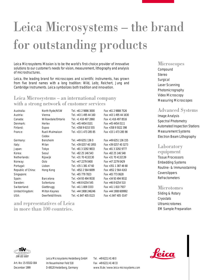# Leica Microsystems – the brand for outstanding products

Leica Microsystems Mission is to be the world's first-choice provider of innovative solutions to our customer's needs for vision, measurement, lithography and analysis of microstructures.

Leica, the leading brand for microscopes and scientific instruments, has grown from five brand names with a long tradition: Wild, Leitz, Reichert, Jung and Cambridge Instruments. Leica symbolizes both tradition and innovation.

### Leica Microsystems – an international company with a strong network of customer services

| North Ryde/NSW     | Tel. +61 2 9886 3000  | Fax +61 2 9888 7526   |
|--------------------|-----------------------|-----------------------|
| Vienna             | Tel. +43 1 495 44 160 | Fax +43 1 495 44 1630 |
| Willowdale/Ontario | Tel. +1 416 497 2860  | Fax +1 416 497 8516   |
| Herlev             | Tel. +45 4454 0101    | Fax +45 4454 0111     |
| <b>Espoo</b>       | Tel. +358 9 6153 555  | Fax +358 9 5022 398   |
| Rueil-Malmaison    | Tel. +33 1 473 285 85 | Fax +33 1 473 285 98  |
| Cedex              |                       |                       |
| Bensheim           | Tel. +49 6251 136 0   | Fax +49 6251 136 155  |
| Milan              | Tel. +39 0257 40 1955 | Fax +39 0257 40 3273  |
| Tokyo              | Tel. +81 3 3292 9833  | Fax +81 3 3292 9777   |
| Seoul              | Tel. +82 25 146 543   | Fax +82 25 146 548    |
| Rijswijk           | Tel. +31 70 4132130   | Fax +31 70 4132139    |
| Oslo               | Tel. +47 2279 0400    | Fax +47 2279 0429     |
| Lisbon             | Tel. +35 1 381 47 60  | Fax +351 1 387 46 68  |
| Hong Kong          | Tel. +852 2 564 6699  | Fax +852 2 564 4163   |
|                    | Tel. +65 779 7823     | Fax +65 773 0628      |
| Barcelona          | Tel. +34 93 494 9530  | Fax +34 93 494 9532   |
| Sollentuna         | Tel. +46 8 6254 545   | Fax +46 8 6254 510    |
| Glattbrugg         | Tel. +41 1 809 3333   | Fax +41 1 810 7937    |
| Milton Keynes      | Tel. +44 1908 246246  | Fax +44 1908 609992   |
| Deerfield/Illinois | Tel. +1 847 405 0123  | Fax +1 847 405 0147   |
|                    |                       |                       |

### and representatives of Leica in more than 100 countries.

#### **Microscopes**

Compound Stereo **Surgical** Laser Scanning Photomicrography Video Microscopy Measuring Microscopes

### Advanced Systems

Image Analysis Spectral Photometry Automated Inspection Stations Measurement Systems Electron Beam Lithography

#### Laboratory equipment

Tissue Processors Embedding Systems Routine- & Immunostaining Coverslippers Refractometers

#### **Microtomes**

Sliding & Rotary **Cryostats** Ultramicrotomes EM Sample Preparation



Art.-No: 15-93102-004 December 1999

Leica Microsystems Heidelberg GmbH Tel. +49 6221/41 48 0 Im Neuenheimer Feld 518 Fax +49 6221/41 48 33

D-69120 Heidelberg, Germany www.llt.de / www.leica-microsystems.com

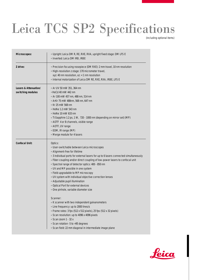## Leica TCS SP2 Specifications

(including optional items)

| Microscopes:                               | • Upright: Leica DM R, RE, RXE, RXA, upright fixed stage: DM LFS E<br>. Inverted: Leica DM IRB, IRBE                                                                                                                                                                                                                                                                                                                                                                                                                                                                                                                                                                                                                                                                                                                                                                                                                             |
|--------------------------------------------|----------------------------------------------------------------------------------------------------------------------------------------------------------------------------------------------------------------------------------------------------------------------------------------------------------------------------------------------------------------------------------------------------------------------------------------------------------------------------------------------------------------------------------------------------------------------------------------------------------------------------------------------------------------------------------------------------------------------------------------------------------------------------------------------------------------------------------------------------------------------------------------------------------------------------------|
| Z drive:                                   | · Precision focusing nosepiece (DM RXE): 2 mm travel, 10 nm resolution<br>· High-resolution z stage: 170 micrometer travel,<br>xyz: 40 nm resolution, $xz$ : < 1 nm resolution<br>. Internal motorization of Leica DM RE, RXE, RXA, IRBE, LFS E                                                                                                                                                                                                                                                                                                                                                                                                                                                                                                                                                                                                                                                                                  |
| Lasers & Attenuation/<br>switching modules | • Ar UV 50 mW 351, 364 nm<br>● HeCd 40 mW 442 nm<br>$\bullet$ Ar 100 mW 457 nm, 488 nm, 514 nm<br>ArKr 75 mW 488nm, 568 nm, 647 nm<br>■ Kr 25 mW 568 nm<br>$\bullet$ HeNe 1.2 mW 543 nm<br>• HeNe 10 mW 633 nm<br>• Ti:Sapphire 1.2 ps, 1 W, 720 - 1000 nm (depending on mirror set) (MP)<br>• AOTF 4 or 8 channels, visible range<br>• AOTF, UV range<br>• EOM, IR range (MP)<br>• Merge module for 4 lasers                                                                                                                                                                                                                                                                                                                                                                                                                                                                                                                    |
| <b>Confocal Unit:</b>                      | Optics:<br>• User-switchable between Leica microscopes<br>• Alignment-free for lifetime<br>• 3 individual ports for external lasers for up to 6 lasers connected simultaneously<br>• Fiber-coupling and/or direct coupling of low-power lasers to confocal unit<br>• Spectral range of detector optics: 400 - 850 nm<br>• UV and MP possible in one system<br>• Field-upgradable to MP microscopy<br>. UV system with individual objective correction lenses<br>• Adjustable pupil illumination<br>• Optical Port for external devices<br>• One pinhole, variable diameter size<br>Scanner:<br>• K scanner with two independent galvanometers<br>• Line frequency: up to 2000 lines/s<br>• Frame rates: 3 fps (512 x 512 pixels), 25 fps (512 x 32 pixels)<br>• Scan resolution: up to 4096 x 4096 pixels<br>Scan zoom 1 - 32 x<br>• Scan rotation -5 to +95 degrees<br>· Scan field: 22 mm diagonal in intermediate image plane |